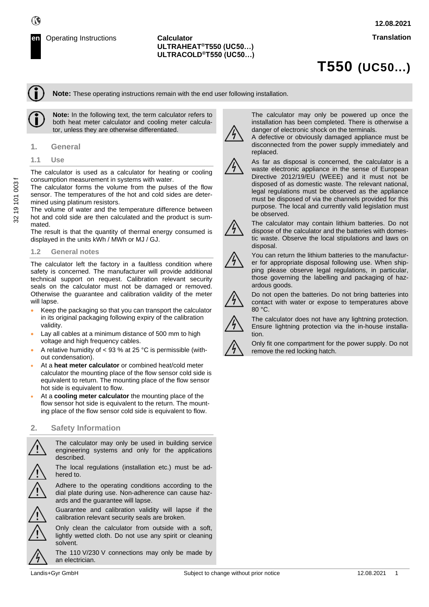# **ULTRAHEAT®T550 (UC50…) ULTRACOLD®T550 (UC50…)**

# **T550 (UC50...)**

**Note:** These operating instructions remain with the end user following installation.



**Note:** In the following text, the term calculator refers to both heat meter calculator and cooling meter calculator, unless they are otherwise differentiated.

### **1. General**

**1.1 Use**

The calculator is used as a calculator for heating or cooling consumption measurement in systems with water.

The calculator forms the volume from the pulses of the flow sensor. The temperatures of the hot and cold sides are determined using platinum resistors.

The volume of water and the temperature difference between hot and cold side are then calculated and the product is summated.

The result is that the quantity of thermal energy consumed is displayed in the units kWh / MWh or MJ / GJ.

#### **1.2 General notes**

The calculator left the factory in a faultless condition where safety is concerned. The manufacturer will provide additional technical support on request. Calibration relevant security seals on the calculator must not be damaged or removed. Otherwise the guarantee and calibration validity of the meter will lapse.

- Keep the packaging so that you can transport the calculator in its original packaging following expiry of the calibration validity.
- Lay all cables at a minimum distance of 500 mm to high voltage and high frequency cables.
- A relative humidity of  $<$  93 % at 25 °C is permissible (without condensation).
- At a **heat meter calculator** or combined heat/cold meter calculator the mounting place of the flow sensor cold side is equivalent to return. The mounting place of the flow sensor hot side is equivalent to flow.
- At a **cooling meter calculator** the mounting place of the flow sensor hot side is equivalent to the return. The mounting place of the flow sensor cold side is equivalent to flow.

# **2. Safety Information**

The calculator may only be used in building service engineering systems and only for the applications described.

The local regulations (installation etc.) must be adhered to.

Adhere to the operating conditions according to the dial plate during use. Non-adherence can cause hazards and the guarantee will lapse.

Guarantee and calibration validity will lapse if the calibration relevant security seals are broken.

Only clean the calculator from outside with a soft, lightly wetted cloth. Do not use any spirit or cleaning solvent.

The 110 V/230 V connections may only be made by an electrician.

The calculator may only be powered up once the installation has been completed. There is otherwise a danger of electronic shock on the terminals.

A defective or obviously damaged appliance must be disconnected from the power supply immediately and replaced.



As far as disposal is concerned, the calculator is a waste electronic appliance in the sense of European Directive 2012/19/EU (WEEE) and it must not be disposed of as domestic waste. The relevant national, legal regulations must be observed as the appliance must be disposed of via the channels provided for this purpose. The local and currently valid legislation must be observed.



The calculator may contain lithium batteries. Do not dispose of the calculator and the batteries with domestic waste. Observe the local stipulations and laws on disposal.



You can return the lithium batteries to the manufacturer for appropriate disposal following use. When shipping please observe legal regulations, in particular, those governing the labelling and packaging of hazardous goods.



Do not open the batteries. Do not bring batteries into contact with water or expose to temperatures above 80 °C.



The calculator does not have any lightning protection. Ensure lightning protection via the in-house installation.



Only fit one compartment for the power supply. Do not remove the red locking hatch.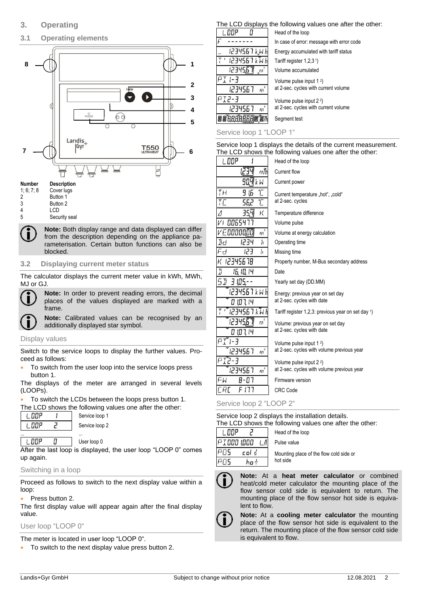**3.1 Operating elements**



# **Number Description**

- 1; 6; 7; 8 Cover lugs<br>2 Button 1 **Button 1** 3 Button 2<br>4 LCD
- 4 LCD<br>5 Secu Security seal

**Note:** Both display range and data displayed can differ from the description depending on the appliance parameterisation. Certain button functions can also be blocked.

# **3.2 Displaying current meter status**

The calculator displays the current meter value in kWh, MWh, MJ or GJ.



**Note:** In order to prevent reading errors, the decimal places of the values displayed are marked with a frame.

**Note:** Calibrated values can be recognised by an additionally displayed star symbol.

# Display values

Switch to the service loops to display the further values. Proceed as follows:

• To switch from the user loop into the service loops press button 1.

The displays of the meter are arranged in several levels (LOOPs).

To switch the LCDs between the loops press button 1.

The LCD shows the following values one after the other:

Service loop 1 Service loop 2

| ப       |    |
|---------|----|
| пo<br>٠ | c. |
|         |    |

**L. DOP** O User loop 0

After the last loop is displayed, the user loop "LOOP 0" comes up again.

# Switching in a loop

Proceed as follows to switch to the next display value within a loop:

# Press button 2.

The first display value will appear again after the final display value.

# User loop "LOOP 0"

The meter is located in user loop "LOOP 0".

• To switch to the next display value press button 2.

# The LCD displays the following values one after the other:

|                        | Head of the loop                          |
|------------------------|-------------------------------------------|
|                        | In case of error: message with error code |
| 1234567 k.W h          | Energy accumulated with tariff status     |
| 1234567 k W h          | Tariff register $1,2,3$ <sup>1</sup> )    |
| 12345<br>$f_1$         | Volume accumulated                        |
| - 7                    | Volume pulse input 1 <sup>2</sup> )       |
| $\bar{m}^*$<br>1274567 | at 2-sec. cycles with current volume      |
| ך-קדק                  | Volume pulse input 2 <sup>2</sup> )       |
| $m^2$<br>1274567       | at 2-sec. cycles with current volume      |
| 网 昭 E                  | Segment test                              |
|                        |                                           |

Service loop 1 "LOOP 1"

Service loop 1 displays the details of the current measurement. The LCD shows the following values one after the other:

| l OOP                                  | Head of the loop                                                                  |
|----------------------------------------|-----------------------------------------------------------------------------------|
| m/h<br>IZ 34                           | Current flow                                                                      |
| 90,4 k w                               | Current power                                                                     |
| TH.<br>Ľ<br>ļБ<br>9<br>T<br>ТĽ<br>56,2 | Current temperature "hot", "cold"<br>at 2-sec. cycles                             |
| 35.A<br>К<br>Δ                         | Temperature difference                                                            |
| 0065477                                | Volume pulse                                                                      |
| э<br>v E ooooooo<br>m                  | Volume at energy calculation                                                      |
| Icl<br>1234<br>h                       | Operating time                                                                    |
| Fd<br>ב בו<br>'n                       | Missing time                                                                      |
| 12345678                               | Property number, M-Bus secondary address                                          |
| I<br>16, 10, 14                        | Date                                                                              |
| 51<br>3 IOS.                           | Yearly set day (DD.MM)                                                            |
| 1234567 k W h<br>107.14<br>П           | Energy: previous year on set day<br>at 2-sec. cycles with date                    |
| 1234567 k W h                          | Tariff register 1,2,3: previous year on set day $\frac{1}{2}$                     |
| 123456<br>m<br>0 10 1, 14              | Volume: previous year on set day<br>at 2-sec. cycles with date                    |
| $PT$ I-3<br>1234567<br>m               | Volume pulse input 1 <sup>2</sup> )<br>at 2-sec. cycles with volume previous year |
| ן קזק<br>$m_\parallel$<br>1234567      | Volume pulse input 2 <sup>2</sup> )<br>at 2-sec. cycles with volume previous year |
| FW<br>A-N7                             | Firmware version                                                                  |
| ERE<br>F 177                           | <b>CRC</b> Code                                                                   |

Service loop 2 "LOOP 2"

Service loop 2 displays the installation details. The LCD shows the following values one after the other:

Head of the loop

| ו טאטוט שט∟ טוו |          |  |
|-----------------|----------|--|
| <b>ODP</b>      |          |  |
| 1000 IOOO       |          |  |
|                 | col<br>ń |  |
|                 |          |  |

Pulse value Mounting place of the flow cold side or hot side



**Note:** At a **heat meter calculator** or combined heat/cold meter calculator the mounting place of the flow sensor cold side is equivalent to return. The mounting place of the flow sensor hot side is equivalent to flow.



**Note:** At a **cooling meter calculator** the mounting place of the flow sensor hot side is equivalent to the return. The mounting place of the flow sensor cold side is equivalent to flow.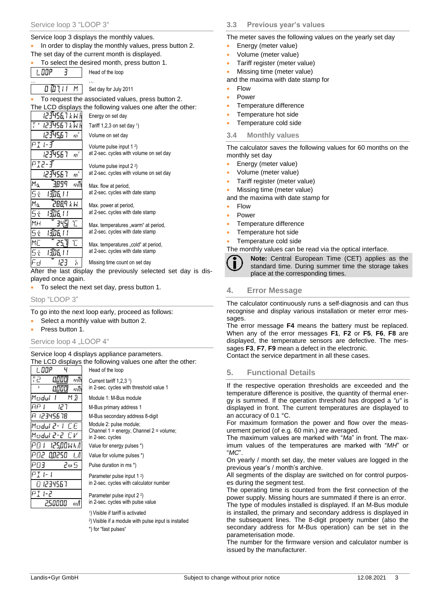### Service loop 3 displays the monthly values.

• In order to display the monthly values, press button 2. The set day of the current month is displayed.

• To select the desired month, press button 1.

**L. DOP**  $\overline{1}$ 

12345,67 m'

1234567

। अग्रह । ।

1306.11

1306.11

। अँग्रेस । । 123

3899

 $W$   $\lambda$  PBBS

345  $\Upsilon$ 

25.7

 $m^3$ 

 $\mathfrak{m}^3$ 

m

h

 $1 -$ 1234567

**דְ-קִי**ק

Mα

5ł

Mn 5ł

 $4H$ 

5ł Mſ

5ł

Fd

Head of the loop

… … … … … … …  $0.0111M$ Set day for July 2011

To request the associated values, press button 2. The LCD displays the following values one after the other: 123456,7 k W l Energy on set day 1234567 k W h Tariff 1,2,3 on set day 1)

Volume on set day

Volume pulse input 1 <sup>2</sup> ) at 2-sec. cycles with volume on set day

Volume pulse input 2 <sup>2</sup> ) at 2-sec. cycles with volume on set day

Max. flow at period, at 2-sec. cycles with date stamp

Max. power at period, at 2-sec. cycles with date stamp

Max, temperatures "warm" at period. at 2-sec. cycles with date stamp

Max. temperatures ..cold" at period. at 2-sec. cycles with date stamp

Missing time count on set day

After the last display the previously selected set day is displayed once again.

• To select the next set day, press button 1.

Stop "LOOP 3"

To go into the next loop early, proceed as follows:

- Select a monthly value with button 2.
- Press button 1.

L. OOP 72

#### Service loop 4 "LOOP 4"

Service loop 4 displays appliance parameters. The LCD displays the following values one after the other:

| 1. DDP                                 | Head of the loop                                                                 |
|----------------------------------------|----------------------------------------------------------------------------------|
| Ŧē<br>m/h<br>U.OO CI<br>m/h<br>U.OO CI | Current tariff $1,2,3$ <sup>1</sup> )<br>in 2-sec. cycles with threshold value 1 |
| МJ<br>Modul                            | Module 1: M-Bus module                                                           |
| ĦΡ<br>ר בו                             | M-Bus primary address 1                                                          |
| A 12345678                             | M-Bus secondary address 8-digit                                                  |
| Madul 2- L.C.E                         | Module 2: pulse module;                                                          |
| Madul 2-2 CV                           | Channel $1 =$ energy, Channel $2 =$ volume;<br>in 2-sec. cycles                  |
| PO I<br>125.00Wh/l                     | Value for energy pulses *)                                                       |
| PO2 00250                              | Value for volume pulses *)                                                       |
| PΩ∃<br>2m 5                            | Pulse duration in ms *)                                                          |
|                                        | Parameter pulse input 1 <sup>2</sup> )                                           |
| 01234567                               | in 2-sec. cycles with calculator number                                          |
| 2-ו 1 <del>-</del>                     | Parameter pulse input 2 <sup>2</sup> )                                           |
| 2,50000<br>m/l                         | in 2-sec. cycles with pulse value                                                |
|                                        | <sup>1</sup> ) Visible if tariff is activated                                    |
|                                        | <sup>2</sup> ) Visible if a module with pulse input is installed                 |

\*) for "fast pulses"

# **3.3 Previous year's values**

The meter saves the following values on the yearly set day

- Energy (meter value)
- Volume (meter value)
- Tariff register (meter value)
- Missing time (meter value)

and the maxima with date stamp for

- Flow
- Power
- Temperature difference
- Temperature hot side
- Temperature cold side

#### **3.4 Monthly values**

The calculator saves the following values for 60 months on the monthly set day

- Energy (meter value)
- Volume (meter value)
- Tariff register (meter value)
- Missing time (meter value)

and the maxima with date stamp for

- Flow
- Power
- Temperature difference
- Temperature hot side
- Temperature cold side

The monthly values can be read via the optical interface.



**Note:** Central European Time (CET) applies as the standard time. During summer time the storage takes place at the corresponding times.

# **4. Error Message**

The calculator continuously runs a self-diagnosis and can thus recognise and display various installation or meter error messages.

The error message **F4** means the battery must be replaced. When any of the error messages **F1**, **F2** or **F5**, **F6**, **F8** are displayed, the temperature sensors are defective. The messages **F3**, **F7**, **F9** mean a defect in the electronic.

Contact the service department in all these cases.

# **5. Functional Details**

If the respective operation thresholds are exceeded and the temperature difference is positive, the quantity of thermal energy is summed. If the operation threshold has dropped a *"u"* is displayed in front. The current temperatures are displayed to an accuracy of 0.1 °C.

For maximum formation the power and flow over the measurement period (of e.g. 60 min.) are averaged.

The maximum values are marked with "*Ma*" in front. The maximum values of the temperatures are marked with "*MH*" or "*MC*".

On yearly / month set day, the meter values are logged in the previous year's / month's archive.

All segments of the display are switched on for control purposes during the segment test.

The operating time is counted from the first connection of the power supply. Missing hours are summated if there is an error.

The type of modules installed is displayed. If an M-Bus module is installed, the primary and secondary address is displayed in the subsequent lines. The 8-digit property number (also the secondary address for M-Bus operation) can be set in the parameterisation mode.

The number for the firmware version and calculator number is issued by the manufacturer.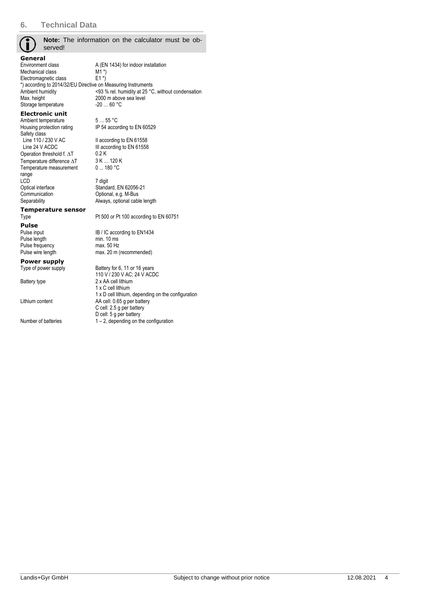| served!                                                       | Note: The information on the calculator must be ob- |  |  |  |  |
|---------------------------------------------------------------|-----------------------------------------------------|--|--|--|--|
| General                                                       |                                                     |  |  |  |  |
| Environment class                                             | A (EN 1434) for indoor installation                 |  |  |  |  |
| Mechanical class<br>Electromagnetic class                     | M1*)<br>$E1*)$                                      |  |  |  |  |
| *) according to 2014/32/EU Directive on Measuring Instruments |                                                     |  |  |  |  |
| Ambient humidity                                              | <93 % rel. humidity at 25 °C, without condensation  |  |  |  |  |
| Max. height                                                   | 2000 m above sea level                              |  |  |  |  |
| Storage temperature                                           | $-2060 °C$                                          |  |  |  |  |
| <b>Electronic unit</b>                                        |                                                     |  |  |  |  |
| Ambient temperature                                           | 555 °C                                              |  |  |  |  |
| Housing protection rating                                     | IP 54 according to EN 60529                         |  |  |  |  |
| Safety class<br>Line 110 / 230 V AC                           | II according to EN 61558                            |  |  |  |  |
| Line 24 V ACDC                                                | III according to EN 61558                           |  |  |  |  |
| Operation threshold f. AT                                     | 0.2K                                                |  |  |  |  |
| Temperature difference $\Delta T$                             | 3 K  120 K                                          |  |  |  |  |
| Temperature measurement                                       | 0180 °C                                             |  |  |  |  |
| range                                                         |                                                     |  |  |  |  |
| LCD                                                           | 7 digit                                             |  |  |  |  |
| Optical interface<br>Communication                            | Standard, EN 62056-21<br>Optional, e.g. M-Bus       |  |  |  |  |
| Separability                                                  | Always, optional cable length                       |  |  |  |  |
| Temperature sensor                                            |                                                     |  |  |  |  |
| Type                                                          | Pt 500 or Pt 100 according to EN 60751              |  |  |  |  |
| Pulse                                                         |                                                     |  |  |  |  |
| Pulse input                                                   | IB / IC according to EN1434                         |  |  |  |  |
| Pulse length                                                  | min. 10 ms                                          |  |  |  |  |
| Pulse frequency                                               | max. 50 Hz                                          |  |  |  |  |
| Pulse wire length                                             | max. 20 m (recommended)                             |  |  |  |  |
| Power supply                                                  |                                                     |  |  |  |  |
| Type of power supply                                          | Battery for 6, 11 or 16 years                       |  |  |  |  |
|                                                               | 110 V / 230 V AC; 24 V ACDC<br>2 x AA cell lithium  |  |  |  |  |
| Battery type                                                  | 1 x C cell lithium                                  |  |  |  |  |
|                                                               | 1 x D cell lithium, depending on the configuration  |  |  |  |  |
| Lithium content                                               | AA cell: 0.65 g per battery                         |  |  |  |  |
|                                                               | C cell: 2.5 g per battery                           |  |  |  |  |
|                                                               | D cell: 5 g per battery                             |  |  |  |  |
| Number of batteries                                           | $1 - 2$ , depending on the configuration            |  |  |  |  |